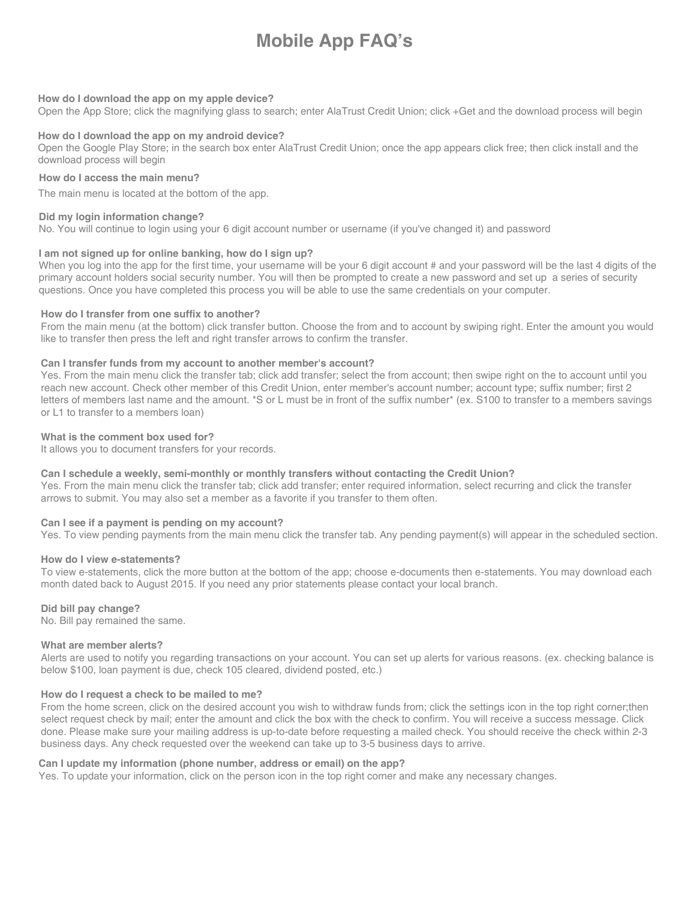# **Mobile App FAQ's**

# **How do I download the app on my apple device?**

Open the App Store; click the magnifying glass to search; enter AlaTrust Credit Union; click +Get and the download process will begin

# **How do I download the app on my android device?**

Open the Google Play Store; in the search box enter AlaTrust Credit Union; once the app appears click free; then click install and the download process will begin

# **How do I access the main menu?**

The main menu is located at the bottom of the app.

# **Did my login information change?**

No. You will continue to login using your 6 digit account number or username (if you've changed it) and password

# **I am not signed up for online banking, how do I sign up?**

When you log into the app for the first time, your username will be your 6 digit account # and your password will be the last 4 digits of the primary account holders social security number. You will then be prompted to create a new password and set up a series of security questions. Once you have completed this process you will be able to use the same credentials on your computer.

# **How do I transfer from one suffix to another?**

From the main menu (at the bottom) click transfer button. Choose the from and to account by swiping right. Enter the amount you would like to transfer then press the left and right transfer arrows to confirm the transfer.

# **Can I transfer funds from my account to another member's account?**

Yes. From the main menu click the transfer tab; click add transfer; select the from account; then swipe right on the to account until you reach new account. Check other member of this Credit Union, enter member's account number; account type; suffix number; first 2 letters of members last name and the amount. \*S or L must be in front of the suffix number\* (ex. S100 to transfer to a members savings or L1 to transfer to a members loan)

# **What is the comment box used for?**

It allows you to document transfers for your records.

# **Can I schedule a weekly, semi-monthly or monthly transfers without contacting the Credit Union?**

Yes. From the main menu click the transfer tab; click add transfer; enter required information, select recurring and click the transfer arrows to submit. You may also set a member as a favorite if you transfer to them often.

#### **Can I see if a payment is pending on my account?**

Yes. To view pending payments from the main menu click the transfer tab. Any pending payment(s) will appear in the scheduled section.

#### **How do I view e-statements?**

To view e-statements, click the more button at the bottom of the app; choose e-documents then e-statements. You may download each month dated back to August 2015. If you need any prior statements please contact your local branch.

# **Did bill pay change?**

No. Bill pay remained the same.

#### **What are member alerts?**

Alerts are used to notify you regarding transactions on your account. You can set up alerts for various reasons. (ex. checking balance is below \$100, loan payment is due, check 105 cleared, dividend posted, etc.)

# **How do I request a check to be mailed to me?**

From the home screen, click on the desired account you wish to withdraw funds from; click the settings icon in the top right corner;then select request check by mail; enter the amount and click the box with the check to confirm. You will receive a success message. Click done. Please make sure your mailing address is up-to-date before requesting a mailed check. You should receive the check within 2-3 business days. Any check requested over the weekend can take up to 3-5 business days to arrive.

## **Can I update my information (phone number, address or email) on the app?**

Yes. To update your information, click on the person icon in the top right corner and make any necessary changes.